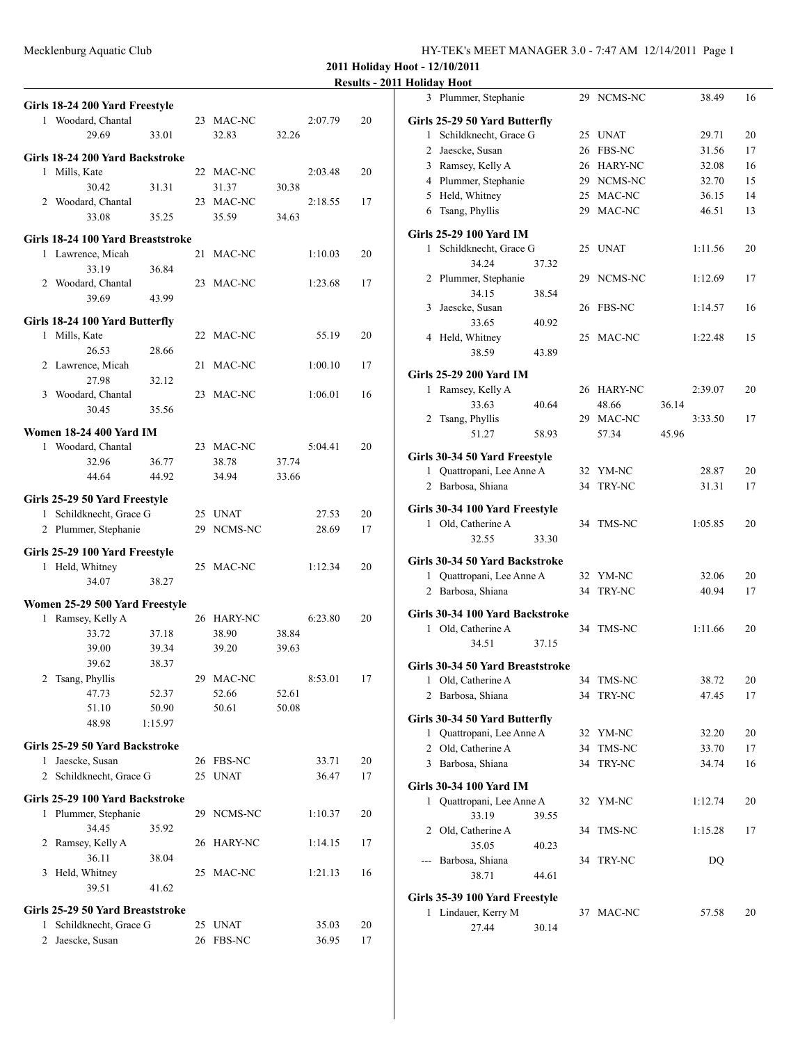**2011 Holiday Hoot - 12/10/2011**

**Results - 2011 Holiday Hoot**

|              | Girls 18-24 200 Yard Freestyle                   |                |    |                |                |         |    |
|--------------|--------------------------------------------------|----------------|----|----------------|----------------|---------|----|
|              | 1 Woodard, Chantal                               |                |    | 23 MAC-NC      |                | 2:07.79 | 20 |
|              | 29.69                                            | 33.01          |    | 32.83          | 32.26          |         |    |
|              |                                                  |                |    |                |                |         |    |
|              | Girls 18-24 200 Yard Backstroke<br>1 Mills, Kate |                |    | 22 MAC-NC      |                | 2:03.48 | 20 |
|              | 30.42                                            | 31.31          |    | 31.37          | 30.38          |         |    |
|              | 2 Woodard, Chantal                               |                |    | 23 MAC-NC      |                | 2:18.55 | 17 |
|              | 33.08                                            | 35.25          |    | 35.59          | 34.63          |         |    |
|              |                                                  |                |    |                |                |         |    |
|              | Girls 18-24 100 Yard Breaststroke                |                |    |                |                |         |    |
|              | 1 Lawrence, Micah                                |                | 21 | MAC-NC         |                | 1:10.03 | 20 |
|              | 33.19                                            | 36.84          |    |                |                |         |    |
|              | 2 Woodard, Chantal                               |                | 23 | MAC-NC         |                | 1:23.68 | 17 |
|              | 39.69                                            | 43.99          |    |                |                |         |    |
|              | Girls 18-24 100 Yard Butterfly                   |                |    |                |                |         |    |
|              | 1 Mills, Kate                                    |                |    | 22 MAC-NC      |                | 55.19   | 20 |
|              | 26.53                                            | 28.66          |    |                |                |         |    |
|              | 2 Lawrence, Micah                                |                | 21 | MAC-NC         |                | 1:00.10 | 17 |
|              | 27.98                                            | 32.12          |    |                |                |         |    |
|              | 3 Woodard, Chantal                               |                |    | 23 MAC-NC      |                | 1:06.01 | 16 |
|              | 30.45                                            | 35.56          |    |                |                |         |    |
|              | Women 18-24 400 Yard IM                          |                |    |                |                |         |    |
|              | 1 Woodard, Chantal                               |                |    | 23 MAC-NC      |                | 5:04.41 | 20 |
|              | 32.96                                            | 36.77          |    | 38.78          | 37.74          |         |    |
|              | 44.64                                            | 44.92          |    | 34.94          | 33.66          |         |    |
|              |                                                  |                |    |                |                |         |    |
|              | Girls 25-29 50 Yard Freestyle                    |                |    |                |                |         |    |
|              | 1 Schildknecht, Grace G                          |                |    | 25 UNAT        |                | 27.53   | 20 |
|              | 2 Plummer, Stephanie                             |                |    | 29 NCMS-NC     |                | 28.69   | 17 |
|              | Girls 25-29 100 Yard Freestyle                   |                |    |                |                |         |    |
|              | 1 Held, Whitney                                  |                |    | 25 MAC-NC      |                | 1:12.34 | 20 |
|              | 34.07                                            | 38.27          |    |                |                |         |    |
|              |                                                  |                |    |                |                |         |    |
|              | Women 25-29 500 Yard Freestyle                   |                |    |                |                |         |    |
|              | 1 Ramsey, Kelly A                                |                |    | 26 HARY-NC     |                | 6:23.80 | 20 |
|              | 33.72                                            | 37.18          |    | 38.90          | 38.84          |         |    |
|              | 39.00                                            | 39.34          |    | 39.20          | 39.63          |         |    |
|              | 39.62                                            | 38.37          |    |                |                | 8:53.01 |    |
|              | 2 Tsang, Phyllis<br>47.73                        |                |    | 29 MAC-NC      |                |         | 17 |
|              | 51.10                                            | 52.37<br>50.90 |    | 52.66<br>50.61 | 52.61<br>50.08 |         |    |
|              | 48.98                                            | 1:15.97        |    |                |                |         |    |
|              |                                                  |                |    |                |                |         |    |
|              | Girls 25-29 50 Yard Backstroke                   |                |    |                |                |         |    |
|              | 1 Jaescke, Susan                                 |                |    | 26 FBS-NC      |                | 33.71   | 20 |
|              | 2 Schildknecht, Grace G                          |                | 25 | <b>UNAT</b>    |                | 36.47   | 17 |
|              | Girls 25-29 100 Yard Backstroke                  |                |    |                |                |         |    |
|              | 1 Plummer, Stephanie                             |                |    | 29 NCMS-NC     |                | 1:10.37 | 20 |
|              | 34.45                                            | 35.92          |    |                |                |         |    |
|              | 2 Ramsey, Kelly A                                |                |    | 26 HARY-NC     |                | 1:14.15 | 17 |
|              | 36.11                                            | 38.04          |    |                |                |         |    |
|              | 3 Held, Whitney                                  |                | 25 | MAC-NC         |                | 1:21.13 | 16 |
|              | 39.51                                            | 41.62          |    |                |                |         |    |
|              |                                                  |                |    |                |                |         |    |
|              | Girls 25-29 50 Yard Breaststroke                 |                |    |                |                |         |    |
| $\mathbf{1}$ | Schildknecht, Grace G                            |                |    | 25 UNAT        |                | 35.03   | 20 |
|              | 2 Jaescke, Susan                                 |                |    | 26 FBS-NC      |                | 36.95   | 17 |

| 3            | Plummer, Stephanie                   |       | 29 | NCMS-NC       |       | 38.49   | 16 |
|--------------|--------------------------------------|-------|----|---------------|-------|---------|----|
|              | Girls 25-29 50 Yard Butterfly        |       |    |               |       |         |    |
| 1            | Schildknecht, Grace G                |       | 25 | <b>UNAT</b>   |       | 29.71   | 20 |
| 2            | Jaescke, Susan                       |       | 26 | <b>FBS-NC</b> |       | 31.56   | 17 |
|              | 3 Ramsey, Kelly A                    |       |    | 26 HARY-NC    |       | 32.08   | 16 |
|              | 4 Plummer, Stephanie                 |       |    | 29 NCMS-NC    |       | 32.70   | 15 |
|              | 5 Held, Whitney                      |       |    | 25 MAC-NC     |       | 36.15   | 14 |
| 6            | Tsang, Phyllis                       |       |    | 29 MAC-NC     |       | 46.51   | 13 |
|              |                                      |       |    |               |       |         |    |
|              | Girls 25-29 100 Yard IM              |       |    |               |       |         |    |
| $\mathbf{1}$ | Schildknecht, Grace G                |       | 25 | <b>UNAT</b>   |       | 1:11.56 | 20 |
|              | 34.24                                | 37.32 |    |               |       |         |    |
| 2            | Plummer, Stephanie                   |       |    | 29 NCMS-NC    |       | 1:12.69 | 17 |
|              | 34.15                                | 38.54 |    |               |       |         |    |
| 3            | Jaescke, Susan                       |       | 26 | FBS-NC        |       | 1:14.57 | 16 |
|              | 33.65                                | 40.92 |    |               |       |         |    |
|              | 4 Held, Whitney                      |       |    | 25 MAC-NC     |       | 1:22.48 | 15 |
|              | 38.59                                | 43.89 |    |               |       |         |    |
|              | Girls 25-29 200 Yard IM              |       |    |               |       |         |    |
| $\mathbf{1}$ | Ramsey, Kelly A                      |       |    | 26 HARY-NC    |       | 2:39.07 | 20 |
|              |                                      |       |    |               |       |         |    |
|              | 33.63                                | 40.64 |    | 48.66         | 36.14 |         |    |
| 2            | Tsang, Phyllis                       |       |    | 29 MAC-NC     |       | 3:33.50 | 17 |
|              | 51.27                                | 58.93 |    | 57.34         | 45.96 |         |    |
|              | <b>Girls 30-34 50 Yard Freestyle</b> |       |    |               |       |         |    |
|              | 1 Quattropani, Lee Anne A            |       |    | 32 YM-NC      |       | 28.87   | 20 |
|              | 2 Barbosa, Shiana                    |       | 34 | TRY-NC        |       | 31.31   | 17 |
|              |                                      |       |    |               |       |         |    |
|              | Girls 30-34 100 Yard Freestyle       |       |    |               |       |         |    |
|              | 1 Old, Catherine A                   |       | 34 | TMS-NC        |       | 1:05.85 | 20 |
|              | 32.55                                | 33.30 |    |               |       |         |    |
|              | Girls 30-34 50 Yard Backstroke       |       |    |               |       |         |    |
|              | 1 Quattropani, Lee Anne A            |       |    | 32 YM-NC      |       | 32.06   | 20 |
|              | 2 Barbosa, Shiana                    |       | 34 | <b>TRY-NC</b> |       | 40.94   | 17 |
|              |                                      |       |    |               |       |         |    |
|              | Girls 30-34 100 Yard Backstroke      |       | 34 |               |       |         |    |
|              | 1 Old, Catherine A                   |       |    | TMS-NC        |       | 1:11.66 | 20 |
|              | 34.51                                | 37.15 |    |               |       |         |    |
|              | Girls 30-34 50 Yard Breaststroke     |       |    |               |       |         |    |
|              | 1 Old, Catherine A                   |       | 34 | TMS-NC        |       | 38.72   | 20 |
|              | 2 Barbosa, Shiana                    |       | 34 | TRY-NC        |       | 47.45   | 17 |
|              |                                      |       |    |               |       |         |    |
|              | Girls 30-34 50 Yard Butterfly        |       |    |               |       |         |    |
|              | 1 Quattropani, Lee Anne A            |       |    | 32 YM-NC      |       | 32.20   | 20 |
|              | 2 Old, Catherine A                   |       | 34 | TMS-NC        |       | 33.70   | 17 |
|              | 3 Barbosa, Shiana                    |       | 34 | <b>TRY-NC</b> |       | 34.74   | 16 |
|              | <b>Girls 30-34 100 Yard IM</b>       |       |    |               |       |         |    |
|              | 1 Quattropani, Lee Anne A            |       | 32 | YM-NC         |       | 1:12.74 | 20 |
|              | 33.19                                | 39.55 |    |               |       |         |    |
| 2            | Old, Catherine A                     |       | 34 | TMS-NC        |       | 1:15.28 | 17 |
|              | 35.05                                | 40.23 |    |               |       |         |    |
|              | --- Barbosa, Shiana                  |       | 34 | <b>TRY-NC</b> |       | DQ      |    |
|              | 38.71                                | 44.61 |    |               |       |         |    |
|              |                                      |       |    |               |       |         |    |
|              | Girls 35-39 100 Yard Freestyle       |       |    |               |       |         |    |
|              | 1 Lindauer, Kerry M                  |       |    | 37 MAC-NC     |       | 57.58   | 20 |
|              | 27.44                                | 30.14 |    |               |       |         |    |
|              |                                      |       |    |               |       |         |    |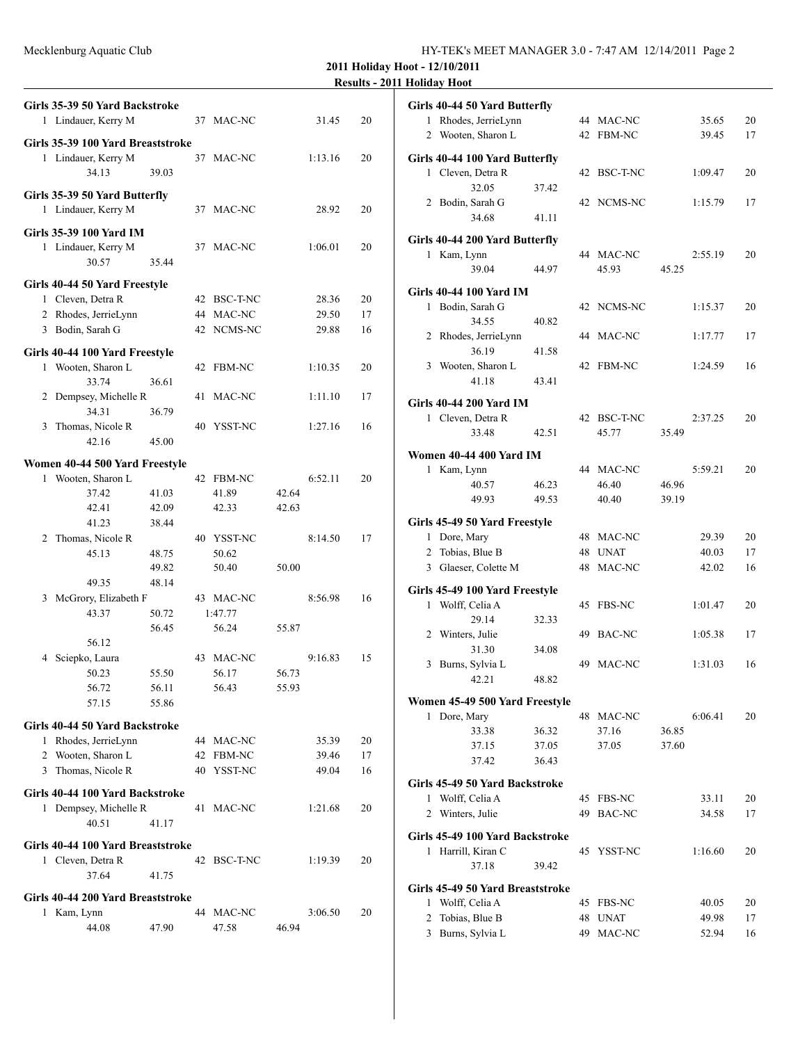Mecklenburg Aquatic Club

| HY-TEK's MEET MANAGER 3.0 - 7:47 AM 12/14/2011 Page 2 |  |  |
|-------------------------------------------------------|--|--|
|-------------------------------------------------------|--|--|

**2011 Holiday Hoot - 12/10/2011**

|                                                       |       |    |             |       |         | <b>Results</b> – 2 |
|-------------------------------------------------------|-------|----|-------------|-------|---------|--------------------|
| Girls 35-39 50 Yard Backstroke<br>1 Lindauer, Kerry M |       |    | 37 MAC-NC   |       | 31.45   | 20                 |
| Girls 35-39 100 Yard Breaststroke                     |       |    |             |       |         |                    |
| 1 Lindauer, Kerry M<br>34.13                          | 39.03 |    | 37 MAC-NC   |       | 1:13.16 | 20                 |
|                                                       |       |    |             |       |         |                    |
| Girls 35-39 50 Yard Butterfly<br>1 Lindauer, Kerry M  |       |    | 37 MAC-NC   |       | 28.92   | 20                 |
| Girls 35-39 100 Yard IM                               |       |    |             |       |         |                    |
| 1 Lindauer, Kerry M                                   |       |    | 37 MAC-NC   |       | 1:06.01 | 20                 |
| 30.57                                                 | 35.44 |    |             |       |         |                    |
|                                                       |       |    |             |       |         |                    |
| Girls 40-44 50 Yard Freestyle                         |       |    |             |       |         |                    |
| 1 Cleven, Detra R                                     |       |    | 42 BSC-T-NC |       | 28.36   | 20                 |
| 2 Rhodes, JerrieLynn                                  |       |    | 44 MAC-NC   |       | 29.50   | 17                 |
| 3 Bodin, Sarah G                                      |       |    | 42 NCMS-NC  |       | 29.88   | 16                 |
|                                                       |       |    |             |       |         |                    |
| Girls 40-44 100 Yard Freestyle                        |       |    |             |       |         |                    |
| 1 Wooten, Sharon L                                    |       |    | 42 FBM-NC   |       | 1:10.35 | 20                 |
| 33.74                                                 | 36.61 |    |             |       |         |                    |
| 2 Dempsey, Michelle R                                 |       | 41 | MAC-NC      |       | 1:11.10 | 17                 |
| 34.31                                                 | 36.79 |    |             |       |         |                    |
| 3 Thomas, Nicole R                                    |       |    | 40 YSST-NC  |       | 1:27.16 | 16                 |
| 42.16                                                 | 45.00 |    |             |       |         |                    |
|                                                       |       |    |             |       |         |                    |
| Women 40-44 500 Yard Freestyle                        |       |    |             |       |         |                    |
| 1 Wooten, Sharon L                                    |       |    | 42 FBM-NC   |       | 6:52.11 | 20                 |
| 37.42                                                 | 41.03 |    | 41.89       | 42.64 |         |                    |
| 42.41                                                 | 42.09 |    | 42.33       | 42.63 |         |                    |
| 41.23                                                 | 38.44 |    |             |       |         |                    |
| 2 Thomas, Nicole R                                    |       |    | 40 YSST-NC  |       | 8:14.50 | 17                 |
| 45.13                                                 | 48.75 |    | 50.62       |       |         |                    |
|                                                       | 49.82 |    | 50.40       | 50.00 |         |                    |
| 49.35                                                 | 48.14 |    |             |       |         |                    |
| 3 McGrory, Elizabeth F                                |       |    | 43 MAC-NC   |       | 8:56.98 | 16                 |
| 43.37                                                 | 50.72 |    | 1:47.77     |       |         |                    |
|                                                       | 56.45 |    | 56.24       | 55.87 |         |                    |
| 56.12                                                 |       |    |             |       |         |                    |
|                                                       |       |    |             |       |         |                    |
| 4 Sciepko, Laura                                      |       |    | 43 MAC-NC   |       | 9:16.83 | 15                 |
| 50.23                                                 | 55.50 |    | 56.17       | 56.73 |         |                    |
| 56.72                                                 | 56.11 |    | 56.43       | 55.93 |         |                    |
| 57.15                                                 | 55.86 |    |             |       |         |                    |
| Girls 40-44 50 Yard Backstroke                        |       |    |             |       |         |                    |
| 1 Rhodes, JerrieLynn                                  |       |    | 44 MAC-NC   |       | 35.39   | 20                 |
| 2 Wooten, Sharon L                                    |       | 42 | FBM-NC      |       | 39.46   | 17                 |
| 3 Thomas, Nicole R                                    |       |    | 40 YSST-NC  |       | 49.04   | 16                 |
|                                                       |       |    |             |       |         |                    |
| Girls 40-44 100 Yard Backstroke                       |       |    |             |       |         |                    |
| 1 Dempsey, Michelle R                                 |       | 41 | MAC-NC      |       | 1:21.68 | 20                 |
| 40.51                                                 | 41.17 |    |             |       |         |                    |
|                                                       |       |    |             |       |         |                    |
| Girls 40-44 100 Yard Breaststroke                     |       |    |             |       |         |                    |
| 1 Cleven, Detra R                                     |       |    | 42 BSC-T-NC |       | 1:19.39 | 20                 |
| 37.64                                                 | 41.75 |    |             |       |         |                    |
| Girls 40-44 200 Yard Breaststroke                     |       |    |             |       |         |                    |
| 1 Kam, Lynn                                           |       |    | 44 MAC-NC   |       | 3:06.50 | 20                 |
|                                                       |       |    |             |       |         |                    |
| 44.08                                                 | 47.90 |    | 47.58       | 46.94 |         |                    |

|              | Girls 40-44 50 Yard Butterfly    |       |    |               |       |         |    |
|--------------|----------------------------------|-------|----|---------------|-------|---------|----|
|              | 1 Rhodes, JerrieLynn             |       |    | 44 MAC-NC     |       | 35.65   | 20 |
|              | 2 Wooten, Sharon L               |       |    | 42 FBM-NC     |       | 39.45   | 17 |
|              | Girls 40-44 100 Yard Butterfly   |       |    |               |       |         |    |
|              | 1 Cleven, Detra R                |       |    | 42 BSC-T-NC   |       | 1:09.47 | 20 |
|              | 32.05                            | 37.42 |    |               |       |         |    |
|              | 2 Bodin, Sarah G                 |       |    | 42 NCMS-NC    |       | 1:15.79 | 17 |
|              |                                  |       |    |               |       |         |    |
|              | 34.68                            | 41.11 |    |               |       |         |    |
|              | Girls 40-44 200 Yard Butterfly   |       |    |               |       |         |    |
|              | 1 Kam, Lynn                      |       |    | 44 MAC-NC     |       | 2:55.19 | 20 |
|              | 39.04                            | 44.97 |    | 45.93         | 45.25 |         |    |
|              |                                  |       |    |               |       |         |    |
|              | Girls 40-44 100 Yard IM          |       |    |               |       |         |    |
|              | 1 Bodin, Sarah G                 |       |    | 42 NCMS-NC    |       | 1:15.37 | 20 |
|              | 34.55                            | 40.82 |    |               |       |         |    |
|              | 2 Rhodes, JerrieLynn             |       |    | 44 MAC-NC     |       | 1:17.77 | 17 |
|              | 36.19                            | 41.58 |    |               |       |         |    |
|              | 3 Wooten, Sharon L               |       | 42 | FBM-NC        |       | 1:24.59 | 16 |
|              | 41.18                            | 43.41 |    |               |       |         |    |
|              | Girls 40-44 200 Yard IM          |       |    |               |       |         |    |
|              | 1 Cleven, Detra R                |       |    | 42 BSC-T-NC   |       | 2:37.25 | 20 |
|              | 33.48                            | 42.51 |    | 45.77         | 35.49 |         |    |
|              |                                  |       |    |               |       |         |    |
|              | Women 40-44 400 Yard IM          |       |    |               |       |         |    |
| $\mathbf{1}$ | Kam, Lynn                        |       |    | 44 MAC-NC     |       | 5:59.21 | 20 |
|              | 40.57                            | 46.23 |    | 46.40         | 46.96 |         |    |
|              | 49.93                            | 49.53 |    | 40.40         | 39.19 |         |    |
|              | Girls 45-49 50 Yard Freestyle    |       |    |               |       |         |    |
|              | 1 Dore, Mary                     |       |    | 48 MAC-NC     |       | 29.39   | 20 |
|              | 2 Tobias, Blue B                 |       |    | 48 UNAT       |       | 40.03   | 17 |
|              | 3 Glaeser, Colette M             |       | 48 | MAC-NC        |       | 42.02   | 16 |
|              |                                  |       |    |               |       |         |    |
|              | Girls 45-49 100 Yard Freestyle   |       |    |               |       |         |    |
|              | 1 Wolff, Celia A                 |       |    | 45 FBS-NC     |       | 1:01.47 | 20 |
|              | 29.14                            | 32.33 |    |               |       |         |    |
|              | 2 Winters, Julie                 |       |    | 49 BAC-NC     |       | 1:05.38 | 17 |
|              | 31.30                            | 34.08 |    |               |       |         |    |
| 3            | Burns, Sylvia L                  |       |    | 49 MAC-NC     |       | 1:31.03 | 16 |
|              | 42.21                            | 48.82 |    |               |       |         |    |
|              | Women 45-49 500 Yard Freestyle   |       |    |               |       |         |    |
| 1            | Dore, Mary                       |       |    | 48 MAC-NC     |       | 6:06.41 | 20 |
|              | 33.38                            | 36.32 |    | 37.16         | 36.85 |         |    |
|              | 37.15                            | 37.05 |    | 37.05         | 37.60 |         |    |
|              | 37.42                            | 36.43 |    |               |       |         |    |
|              |                                  |       |    |               |       |         |    |
|              | Girls 45-49 50 Yard Backstroke   |       |    |               |       |         |    |
|              | 1 Wolff, Celia A                 |       | 45 | <b>FBS-NC</b> |       | 33.11   | 20 |
|              | 2 Winters, Julie                 |       | 49 | <b>BAC-NC</b> |       | 34.58   | 17 |
|              | Girls 45-49 100 Yard Backstroke  |       |    |               |       |         |    |
|              | 1 Harrill, Kiran C               |       |    | 45 YSST-NC    |       | 1:16.60 | 20 |
|              | 37.18                            | 39.42 |    |               |       |         |    |
|              |                                  |       |    |               |       |         |    |
|              | Girls 45-49 50 Yard Breaststroke |       |    |               |       |         |    |
| 1            | Wolff, Celia A                   |       | 45 | FBS-NC        |       | 40.05   | 20 |
| 2            | Tobias, Blue B                   |       | 48 | <b>UNAT</b>   |       | 49.98   | 17 |
| $\mathbf{3}$ | Burns, Sylvia L                  |       | 49 | MAC-NC        |       | 52.94   | 16 |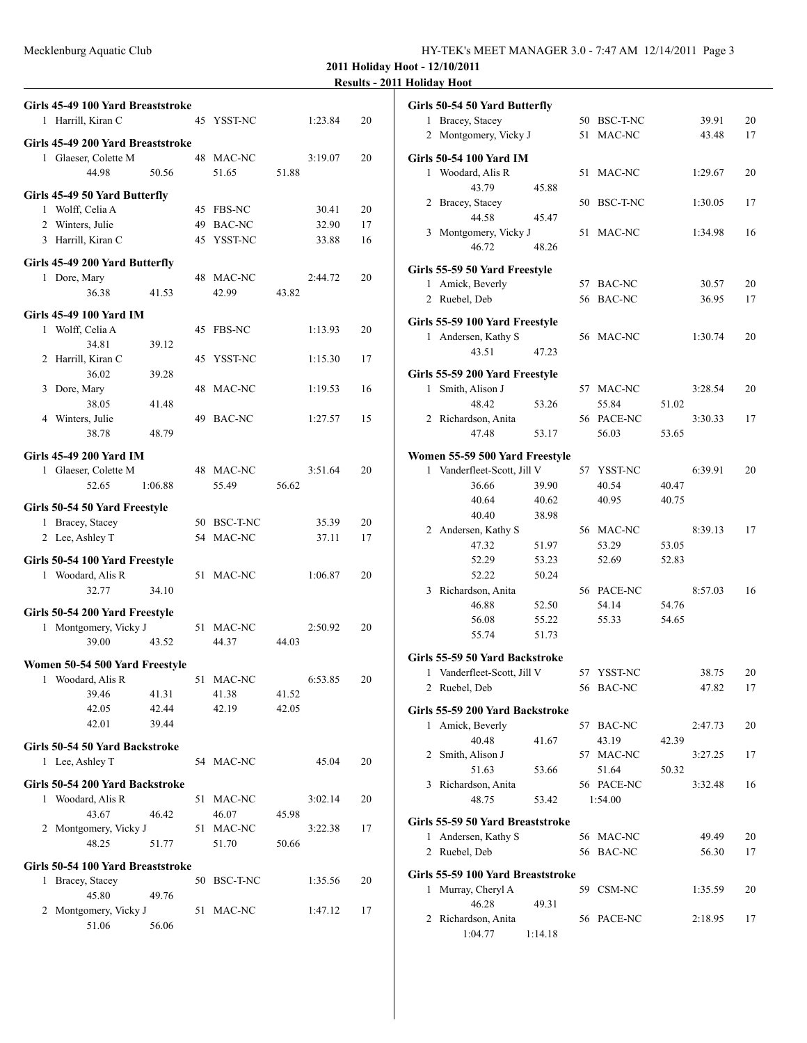| HY-TEK's MEET MANAGER 3.0 - 7:47 AM 12/14/2011 Page 3 |  |
|-------------------------------------------------------|--|
|-------------------------------------------------------|--|

**2011 Holiday Hoot - 12/10/2011**

| <b>Results - 2011 Holiday Hoot</b> |  |
|------------------------------------|--|
|------------------------------------|--|

|   | Girls 45-49 100 Yard Breaststroke |         |    |                 |       |         |    |
|---|-----------------------------------|---------|----|-----------------|-------|---------|----|
|   | 1 Harrill, Kiran C                |         |    | 45 YSST-NC      |       | 1:23.84 | 20 |
|   | Girls 45-49 200 Yard Breaststroke |         |    |                 |       |         |    |
|   | 1 Glaeser, Colette M              |         |    | 48 MAC-NC       |       | 3:19.07 | 20 |
|   | 44.98                             | 50.56   |    | 51.65           | 51.88 |         |    |
|   | Girls 45-49 50 Yard Butterfly     |         |    |                 |       |         |    |
|   | 1 Wolff, Celia A                  |         | 45 | FBS-NC          |       | 30.41   | 20 |
|   | 2 Winters, Julie                  |         | 49 | <b>BAC-NC</b>   |       | 32.90   | 17 |
|   | 3 Harrill, Kiran C                |         |    | 45 YSST-NC      |       | 33.88   | 16 |
|   | Girls 45-49 200 Yard Butterfly    |         |    |                 |       |         |    |
|   | 1 Dore, Mary                      |         |    | 48 MAC-NC       |       | 2:44.72 | 20 |
|   | 36.38                             | 41.53   |    | 42.99           | 43.82 |         |    |
|   |                                   |         |    |                 |       |         |    |
|   | Girls 45-49 100 Yard IM           |         |    |                 |       |         |    |
|   | 1 Wolff, Celia A                  |         | 45 | <b>FBS-NC</b>   |       | 1:13.93 | 20 |
|   | 34.81                             | 39.12   | 45 | YSST-NC         |       | 1:15.30 |    |
|   | 2 Harrill, Kiran C<br>36.02       | 39.28   |    |                 |       |         | 17 |
| 3 | Dore, Mary                        |         | 48 | MAC-NC          |       | 1:19.53 | 16 |
|   | 38.05                             | 41.48   |    |                 |       |         |    |
|   | 4 Winters, Julie                  |         | 49 | BAC-NC          |       | 1:27.57 | 15 |
|   | 38.78                             | 48.79   |    |                 |       |         |    |
|   | <b>Girls 45-49 200 Yard IM</b>    |         |    |                 |       |         |    |
|   | 1 Glaeser, Colette M              |         |    | 48 MAC-NC       |       | 3:51.64 | 20 |
|   | 52.65                             | 1:06.88 |    | 55.49           | 56.62 |         |    |
|   |                                   |         |    |                 |       |         |    |
|   | Girls 50-54 50 Yard Freestyle     |         |    |                 |       |         |    |
|   | 1 Bracey, Stacey                  |         |    | 50 BSC-T-NC     |       | 35.39   | 20 |
|   | 2 Lee, Ashley T                   |         | 54 | MAC-NC          |       | 37.11   | 17 |
|   | Girls 50-54 100 Yard Freestyle    |         |    |                 |       |         |    |
|   | 1 Woodard, Alis R                 |         |    | 51 MAC-NC       |       | 1:06.87 | 20 |
|   | 32.77                             | 34.10   |    |                 |       |         |    |
|   | Girls 50-54 200 Yard Freestyle    |         |    |                 |       |         |    |
|   | 1 Montgomery, Vicky J             |         | 51 | MAC-NC          |       | 2:50.92 | 20 |
|   | 39.00                             | 43.52   |    | 44.37           | 44.03 |         |    |
|   | Women 50-54 500 Yard Freestyle    |         |    |                 |       |         |    |
| 1 | Woodard, Alis R                   |         | 51 | MAC-NC          |       | 6:53.85 | 20 |
|   | 39.46                             | 41.31   |    | 41.38           | 41.52 |         |    |
|   | 42.05                             | 42.44   |    | 42.19           | 42.05 |         |    |
|   | 42.01                             | 39.44   |    |                 |       |         |    |
|   | Girls 50-54 50 Yard Backstroke    |         |    |                 |       |         |    |
|   | 1 Lee, Ashley T                   |         |    | 54 MAC-NC       |       | 45.04   | 20 |
|   |                                   |         |    |                 |       |         |    |
|   | Girls 50-54 200 Yard Backstroke   |         |    |                 |       |         |    |
|   | 1 Woodard, Alis R                 |         | 51 | MAC-NC          |       | 3:02.14 | 20 |
|   | 43.67<br>2 Montgomery, Vicky J    | 46.42   |    | 46.07           | 45.98 |         |    |
|   | 48.25                             | 51.77   | 51 | MAC-NC<br>51.70 | 50.66 | 3:22.38 | 17 |
|   |                                   |         |    |                 |       |         |    |
|   | Girls 50-54 100 Yard Breaststroke |         |    |                 |       |         |    |
| 1 | Bracey, Stacey                    |         | 50 | BSC-T-NC        |       | 1:35.56 | 20 |
| 2 | 45.80<br>Montgomery, Vicky J      | 49.76   | 51 | MAC-NC          |       | 1:47.12 | 17 |
|   | 51.06                             | 56.06   |    |                 |       |         |    |
|   |                                   |         |    |                 |       |         |    |

|              | Girls 50-54 50 Yard Butterfly     |         |    |                |       |         |    |
|--------------|-----------------------------------|---------|----|----------------|-------|---------|----|
|              | 1 Bracey, Stacey                  |         |    | 50 BSC-T-NC    |       | 39.91   | 20 |
|              | 2 Montgomery, Vicky J             |         |    | 51 MAC-NC      |       | 43.48   | 17 |
|              | Girls 50-54 100 Yard IM           |         |    |                |       |         |    |
|              | 1 Woodard, Alis R                 |         |    | 51 MAC-NC      |       | 1:29.67 | 20 |
|              | 43.79                             | 45.88   |    |                |       |         |    |
|              |                                   |         |    | 50 BSC-T-NC    |       |         |    |
|              | 2 Bracey, Stacey                  |         |    |                |       | 1:30.05 | 17 |
|              | 44.58                             | 45.47   |    |                |       |         |    |
| 3            | Montgomery, Vicky J               |         |    | 51 MAC-NC      |       | 1:34.98 | 16 |
|              | 46.72                             | 48.26   |    |                |       |         |    |
|              | Girls 55-59 50 Yard Freestyle     |         |    |                |       |         |    |
|              | 1 Amick, Beverly                  |         |    | 57 BAC-NC      |       | 30.57   | 20 |
|              | 2 Ruebel, Deb                     |         |    | 56 BAC-NC      |       | 36.95   | 17 |
|              |                                   |         |    |                |       |         |    |
|              | Girls 55-59 100 Yard Freestyle    |         |    |                |       |         |    |
|              | 1 Andersen, Kathy S               |         |    | 56 MAC-NC      |       | 1:30.74 | 20 |
|              | 43.51                             | 47.23   |    |                |       |         |    |
|              | Girls 55-59 200 Yard Freestyle    |         |    |                |       |         |    |
|              | 1 Smith, Alison J                 |         |    | 57 MAC-NC      |       | 3:28.54 | 20 |
|              | 48.42                             | 53.26   |    | 55.84          | 51.02 |         |    |
|              | 2 Richardson, Anita               |         |    | 56 PACE-NC     |       | 3:30.33 | 17 |
|              | 47.48                             | 53.17   |    | 56.03          | 53.65 |         |    |
|              |                                   |         |    |                |       |         |    |
|              | Women 55-59 500 Yard Freestyle    |         |    |                |       | 6:39.91 |    |
|              | 1 Vanderfleet-Scott, Jill V       |         | 57 | YSST-NC        |       |         | 20 |
|              | 36.66<br>40.64                    | 39.90   |    | 40.54<br>40.95 | 40.47 |         |    |
|              |                                   | 40.62   |    |                | 40.75 |         |    |
|              | 40.40                             | 38.98   |    |                |       |         |    |
|              | 2 Andersen, Kathy S               |         |    | 56 MAC-NC      |       | 8:39.13 | 17 |
|              | 47.32                             | 51.97   |    | 53.29          | 53.05 |         |    |
|              | 52.29                             | 53.23   |    | 52.69          | 52.83 |         |    |
|              | 52.22                             | 50.24   |    |                |       |         |    |
| 3            | Richardson, Anita                 |         |    | 56 PACE-NC     |       | 8:57.03 | 16 |
|              | 46.88                             | 52.50   |    | 54.14          | 54.76 |         |    |
|              | 56.08                             | 55.22   |    | 55.33          | 54.65 |         |    |
|              | 55.74                             | 51.73   |    |                |       |         |    |
|              | Girls 55-59 50 Yard Backstroke    |         |    |                |       |         |    |
|              | 1 Vanderfleet-Scott, Jill V       |         |    | 57 YSST-NC     |       | 38.75   | 20 |
|              | 2 Ruebel, Deb                     |         |    | 56 BAC-NC      |       | 47.82   | 17 |
|              |                                   |         |    |                |       |         |    |
|              | Girls 55-59 200 Yard Backstroke   |         |    |                |       |         |    |
| $\mathbf{1}$ | Amick, Beverly                    |         |    | 57 BAC-NC      |       | 2:47.73 | 20 |
|              | 40.48                             | 41.67   |    | 43.19          | 42.39 |         |    |
|              | 2 Smith, Alison J                 |         |    | 57 MAC-NC      |       | 3:27.25 | 17 |
|              | 51.63                             | 53.66   |    | 51.64          | 50.32 |         |    |
|              | 3 Richardson, Anita               |         |    | 56 PACE-NC     |       | 3:32.48 | 16 |
|              | 48.75                             | 53.42   |    | 1:54.00        |       |         |    |
|              | Girls 55-59 50 Yard Breaststroke  |         |    |                |       |         |    |
| 1            | Andersen, Kathy S                 |         |    | 56 MAC-NC      |       | 49.49   | 20 |
|              | 2 Ruebel, Deb                     |         |    | 56 BAC-NC      |       | 56.30   | 17 |
|              |                                   |         |    |                |       |         |    |
|              | Girls 55-59 100 Yard Breaststroke |         |    |                |       |         |    |
| $\mathbf{1}$ | Murray, Cheryl A                  |         |    | 59 CSM-NC      |       | 1:35.59 | 20 |
|              | 46.28                             | 49.31   |    |                |       |         |    |
| 2            | Richardson, Anita<br>1:04.77      |         |    | 56 PACE-NC     |       | 2:18.95 | 17 |
|              |                                   | 1:14.18 |    |                |       |         |    |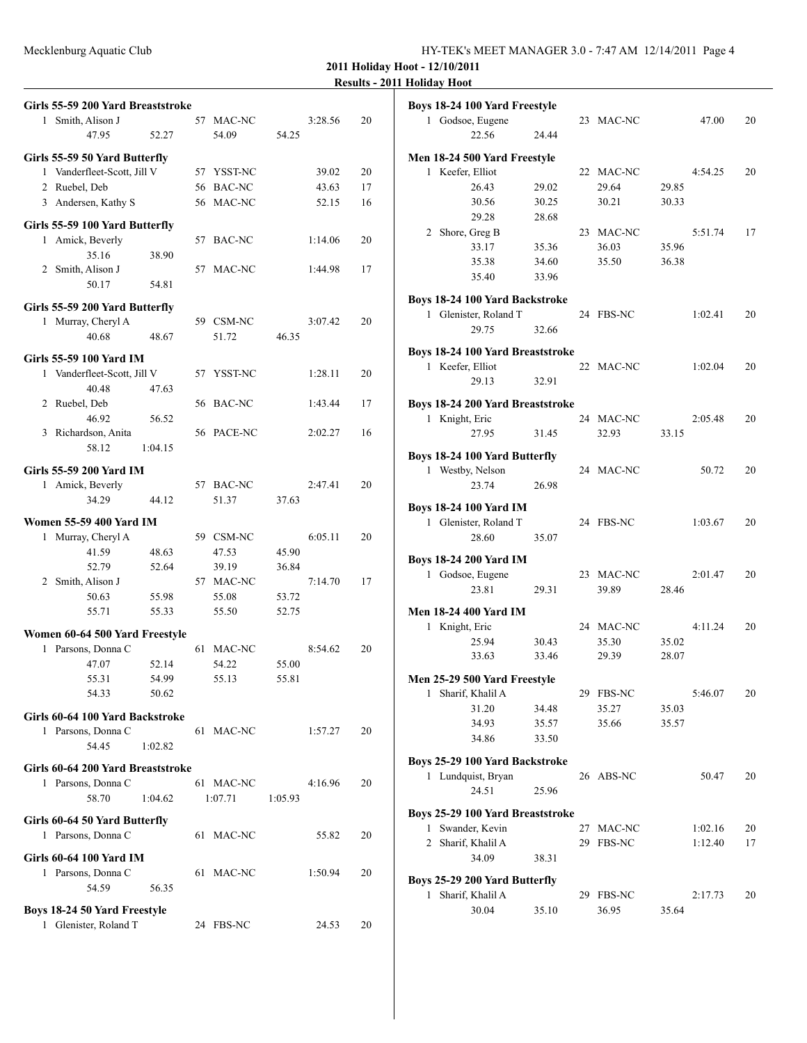**2011 Holiday Hoot - 12/10/2011**

## **Results - 2011 Holiday Hoot**

|   | Girls 55-59 200 Yard Breaststroke                  |         |            |         |         |    |
|---|----------------------------------------------------|---------|------------|---------|---------|----|
|   | 1 Smith, Alison J                                  |         | 57 MAC-NC  |         | 3:28.56 | 20 |
|   | 47.95                                              | 52.27   | 54.09      | 54.25   |         |    |
|   | Girls 55-59 50 Yard Butterfly                      |         |            |         |         |    |
|   | 1 Vanderfleet-Scott, Jill V                        |         | 57 YSST-NC |         | 39.02   | 20 |
|   | 2 Ruebel, Deb                                      |         | 56 BAC-NC  |         | 43.63   | 17 |
|   | 3 Andersen, Kathy S                                |         | 56 MAC-NC  |         | 52.15   | 16 |
|   |                                                    |         |            |         |         |    |
|   | Girls 55-59 100 Yard Butterfly<br>1 Amick, Beverly |         | 57 BAC-NC  |         | 1:14.06 | 20 |
|   | 35.16                                              | 38.90   |            |         |         |    |
|   | 2 Smith, Alison J                                  |         | 57 MAC-NC  |         | 1:44.98 | 17 |
|   | 50.17                                              | 54.81   |            |         |         |    |
|   |                                                    |         |            |         |         |    |
|   | Girls 55-59 200 Yard Butterfly                     |         | 59 CSM-NC  |         | 3:07.42 | 20 |
|   | 1 Murray, Cheryl A<br>40.68                        | 48.67   | 51.72      | 46.35   |         |    |
|   |                                                    |         |            |         |         |    |
|   | Girls 55-59 100 Yard IM                            |         |            |         |         |    |
|   | 1 Vanderfleet-Scott, Jill V                        |         | 57 YSST-NC |         | 1:28.11 | 20 |
|   | 40.48                                              | 47.63   |            |         |         |    |
|   | 2 Ruebel, Deb                                      |         | 56 BAC-NC  |         | 1:43.44 | 17 |
|   | 46.92<br>3 Richardson, Anita                       | 56.52   | 56 PACE-NC |         | 2:02.27 | 16 |
|   | 58.12                                              | 1:04.15 |            |         |         |    |
|   |                                                    |         |            |         |         |    |
|   | Girls 55-59 200 Yard IM                            |         |            |         |         |    |
|   | 1 Amick, Beverly                                   |         | 57 BAC-NC  |         | 2:47.41 | 20 |
|   | 34.29                                              | 44.12   | 51.37      | 37.63   |         |    |
|   | Women 55-59 400 Yard IM                            |         |            |         |         |    |
| 1 | Murray, Cheryl A                                   |         | 59 CSM-NC  |         | 6:05.11 | 20 |
|   | 41.59                                              | 48.63   | 47.53      | 45.90   |         |    |
|   | 52.79                                              | 52.64   | 39.19      | 36.84   |         |    |
|   | 2 Smith, Alison J                                  |         | 57 MAC-NC  |         | 7:14.70 | 17 |
|   | 50.63                                              | 55.98   | 55.08      | 53.72   |         |    |
|   | 55.71                                              | 55.33   | 55.50      | 52.75   |         |    |
|   | Women 60-64 500 Yard Freestyle                     |         |            |         |         |    |
|   | 1 Parsons, Donna C                                 |         | 61 MAC-NC  |         | 8:54.62 | 20 |
|   | 47.07                                              | 52.14   | 54.22      | 55.00   |         |    |
|   | 55.31                                              | 54.99   | 55.13      | 55.81   |         |    |
|   | 54.33                                              | 50.62   |            |         |         |    |
|   | Girls 60-64 100 Yard Backstroke                    |         |            |         |         |    |
|   | 1 Parsons, Donna C                                 |         | 61 MAC-NC  |         | 1:57.27 | 20 |
|   | 54.45                                              | 1:02.82 |            |         |         |    |
|   | Girls 60-64 200 Yard Breaststroke                  |         |            |         |         |    |
|   | 1 Parsons, Donna C                                 |         | 61 MAC-NC  |         | 4:16.96 | 20 |
|   | 58.70                                              | 1:04.62 | 1:07.71    | 1:05.93 |         |    |
|   | Girls 60-64 50 Yard Butterfly                      |         |            |         |         |    |
|   | 1 Parsons, Donna C                                 |         | 61 MAC-NC  |         | 55.82   | 20 |
|   |                                                    |         |            |         |         |    |
|   | Girls 60-64 100 Yard IM<br>1 Parsons, Donna C      |         | 61 MAC-NC  |         | 1:50.94 | 20 |
|   | 54.59                                              | 56.35   |            |         |         |    |
|   |                                                    |         |            |         |         |    |
|   | Boys 18-24 50 Yard Freestyle                       |         |            |         |         |    |
|   | 1 Glenister, Roland T                              |         | 24 FBS-NC  |         | 24.53   | 20 |

|   | Boys 18-24 100 Yard Freestyle                        |       |    |               |       |         |    |
|---|------------------------------------------------------|-------|----|---------------|-------|---------|----|
|   | 1 Godsoe, Eugene                                     |       |    | 23 MAC-NC     |       | 47.00   | 20 |
|   | 22.56                                                | 24.44 |    |               |       |         |    |
|   | Men 18-24 500 Yard Freestyle                         |       |    |               |       |         |    |
|   | 1 Keefer, Elliot                                     |       |    | 22 MAC-NC     |       | 4:54.25 | 20 |
|   | 26.43                                                | 29.02 |    | 29.64         | 29.85 |         |    |
|   | 30.56                                                | 30.25 |    | 30.21         | 30.33 |         |    |
|   | 29.28                                                | 28.68 |    |               |       |         |    |
| 2 | Shore, Greg B                                        |       |    | 23 MAC-NC     |       | 5:51.74 | 17 |
|   | 33.17                                                | 35.36 |    | 36.03         | 35.96 |         |    |
|   | 35.38                                                | 34.60 |    | 35.50         | 36.38 |         |    |
|   | 35.40                                                | 33.96 |    |               |       |         |    |
|   |                                                      |       |    |               |       |         |    |
|   | Boys 18-24 100 Yard Backstroke                       |       |    |               |       |         |    |
|   | 1 Glenister, Roland T                                |       |    | 24 FBS-NC     |       | 1:02.41 | 20 |
|   | 29.75                                                | 32.66 |    |               |       |         |    |
|   | <b>Boys 18-24 100 Yard Breaststroke</b>              |       |    |               |       |         |    |
|   | 1 Keefer, Elliot                                     |       |    | 22 MAC-NC     |       | 1:02.04 | 20 |
|   | 29.13                                                | 32.91 |    |               |       |         |    |
|   | <b>Boys 18-24 200 Yard Breaststroke</b>              |       |    |               |       |         |    |
|   | 1 Knight, Eric                                       |       |    | 24 MAC-NC     |       | 2:05.48 | 20 |
|   | 27.95                                                | 31.45 |    | 32.93         | 33.15 |         |    |
|   |                                                      |       |    |               |       |         |    |
|   | Boys 18-24 100 Yard Butterfly                        |       |    |               |       |         |    |
|   | 1 Westby, Nelson                                     |       |    | 24 MAC-NC     |       | 50.72   | 20 |
|   | 23.74                                                | 26.98 |    |               |       |         |    |
|   | <b>Boys 18-24 100 Yard IM</b>                        |       |    |               |       |         |    |
|   | 1 Glenister, Roland T                                |       |    | 24 FBS-NC     |       | 1:03.67 | 20 |
|   | 28.60                                                | 35.07 |    |               |       |         |    |
|   | <b>Boys 18-24 200 Yard IM</b>                        |       |    |               |       |         |    |
|   | 1 Godsoe, Eugene                                     |       |    | 23 MAC-NC     |       | 2:01.47 | 20 |
|   | 23.81                                                | 29.31 |    | 39.89         | 28.46 |         |    |
|   |                                                      |       |    |               |       |         |    |
|   | <b>Men 18-24 400 Yard IM</b>                         |       |    |               |       |         |    |
| 1 | Knight, Eric                                         |       |    | 24 MAC-NC     |       | 4:11.24 | 20 |
|   | 25.94                                                | 30.43 |    | 35.30         | 35.02 |         |    |
|   | 33.63                                                | 33.46 |    | 29.39         | 28.07 |         |    |
|   | Men 25-29 500 Yard Freestyle                         |       |    |               |       |         |    |
| 1 | Sharif, Khalil A                                     |       | 29 | <b>FBS-NC</b> |       | 5:46.07 | 20 |
|   | 31.20                                                | 34.48 |    | 35.27         | 35.03 |         |    |
|   | 34.93                                                | 35.57 |    | 35.66         | 35.57 |         |    |
|   | 34.86                                                | 33.50 |    |               |       |         |    |
|   |                                                      |       |    |               |       |         |    |
|   | Boys 25-29 100 Yard Backstroke<br>1 Lundquist, Bryan |       |    | 26 ABS-NC     |       | 50.47   | 20 |
|   | 24.51                                                | 25.96 |    |               |       |         |    |
|   |                                                      |       |    |               |       |         |    |
|   | Boys 25-29 100 Yard Breaststroke                     |       |    |               |       |         |    |
| 1 | Swander, Kevin                                       |       | 27 | MAC-NC        |       | 1:02.16 | 20 |
|   | 2 Sharif, Khalil A                                   |       | 29 | FBS-NC        |       | 1:12.40 | 17 |
|   | 34.09                                                | 38.31 |    |               |       |         |    |
|   | Boys 25-29 200 Yard Butterfly                        |       |    |               |       |         |    |
| 1 | Sharif, Khalil A                                     |       | 29 | <b>FBS-NC</b> |       | 2:17.73 | 20 |
|   | 30.04                                                | 35.10 |    | 36.95         | 35.64 |         |    |
|   |                                                      |       |    |               |       |         |    |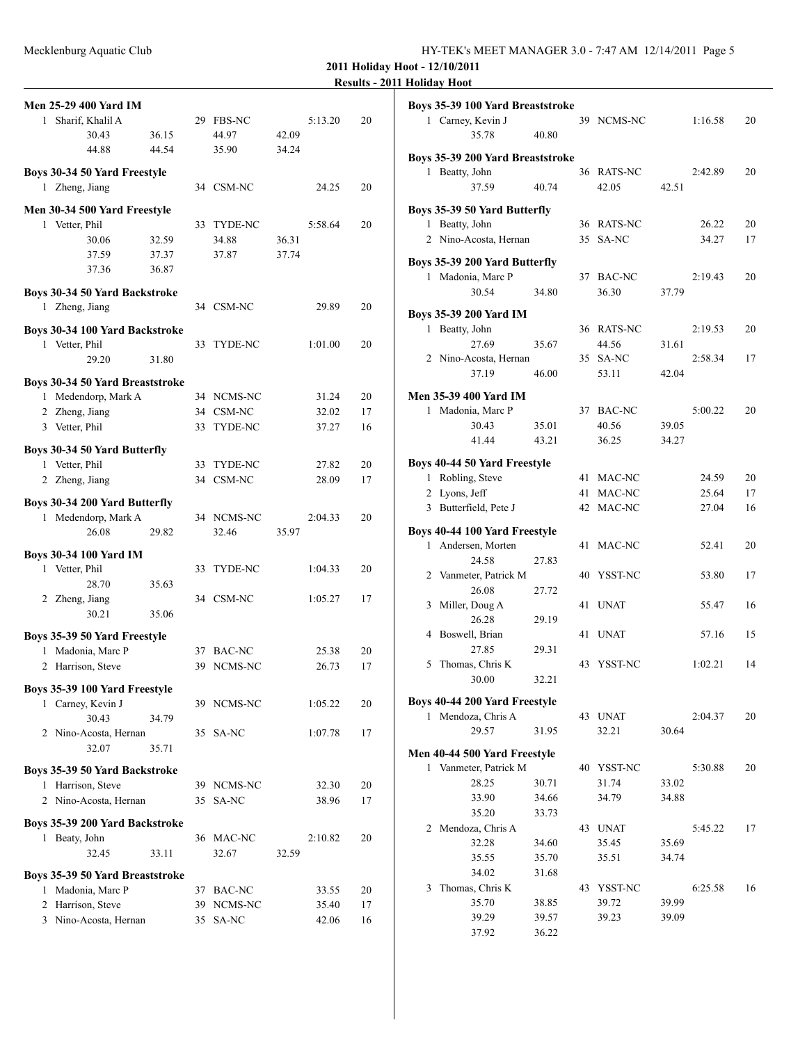**2011 Holiday Hoot - 12/10/2011 Results - 2011 Holiday Hoot**

| <b>Men 25-29 400 Yard IM</b>                       |       |     |                |         |    |
|----------------------------------------------------|-------|-----|----------------|---------|----|
| Sharif, Khalil A<br>1                              |       |     | 29 FBS-NC      | 5:13.20 | 20 |
| 30.43                                              | 36.15 |     | 44.97          | 42.09   |    |
| 44.88                                              | 44.54 |     | 35.90          | 34.24   |    |
| Boys 30-34 50 Yard Freestyle                       |       |     |                |         |    |
| 1 Zheng, Jiang                                     |       |     | 34 CSM-NC      | 24.25   | 20 |
| Men 30-34 500 Yard Freestyle                       |       |     |                |         |    |
| 1 Vetter, Phil                                     |       |     | 33 TYDE-NC     | 5:58.64 | 20 |
| 30.06                                              | 32.59 |     | 34.88          | 36.31   |    |
| 37.59                                              | 37.37 |     | 37.87          | 37.74   |    |
| 37.36                                              | 36.87 |     |                |         |    |
| Boys 30-34 50 Yard Backstroke                      |       |     |                |         |    |
| 1 Zheng, Jiang                                     |       |     | 34 CSM-NC      | 29.89   | 20 |
|                                                    |       |     |                |         |    |
| Boys 30-34 100 Yard Backstroke                     |       |     |                |         |    |
| 1 Vetter, Phil                                     |       | 33  | TYDE-NC        | 1:01.00 | 20 |
| 29.20                                              | 31.80 |     |                |         |    |
| Boys 30-34 50 Yard Breaststroke                    |       |     |                |         |    |
| 1 Medendorp, Mark A                                |       |     | 34 NCMS-NC     | 31.24   | 20 |
| 2 Zheng, Jiang                                     |       | 34  | CSM-NC         | 32.02   | 17 |
| 3 Vetter, Phil                                     |       | 33  | <b>TYDE-NC</b> | 37.27   | 16 |
| Boys 30-34 50 Yard Butterfly                       |       |     |                |         |    |
| 1 Vetter, Phil                                     |       |     | 33 TYDE-NC     | 27.82   | 20 |
| 2 Zheng, Jiang                                     |       |     | 34 CSM-NC      | 28.09   | 17 |
|                                                    |       |     |                |         |    |
| Boys 30-34 200 Yard Butterfly                      |       |     |                |         |    |
| 1 Medendorp, Mark A                                |       |     | 34 NCMS-NC     | 2:04.33 | 20 |
| 26.08                                              | 29.82 |     | 32.46          | 35.97   |    |
| <b>Boys 30-34 100 Yard IM</b>                      |       |     |                |         |    |
| Vetter, Phil<br>1                                  |       | 33  | TYDE-NC        | 1:04.33 | 20 |
| 28.70                                              | 35.63 |     |                |         |    |
| 2 Zheng, Jiang                                     |       |     | 34 CSM-NC      | 1:05.27 | 17 |
| 30.21                                              | 35.06 |     |                |         |    |
| Boys 35-39 50 Yard Freestyle                       |       |     |                |         |    |
| Madonia, Marc P<br>$\mathbf{1}$                    |       |     | 37 BAC-NC      | 25.38   | 20 |
| 2 Harrison, Steve                                  |       | 39  | NCMS-NC        | 26.73   | 17 |
|                                                    |       |     |                |         |    |
| Boys 35-39 100 Yard Freestyle<br>1 Carney, Kevin J |       |     |                |         | 20 |
|                                                    |       |     | 39 NCMS-NC     | 1:05.22 |    |
| 30.43                                              | 34.79 |     |                |         |    |
| 2 Nino-Acosta, Hernan<br>32.07                     |       |     | 35 SA-NC       | 1:07.78 | 17 |
|                                                    | 35.71 |     |                |         |    |
| Boys 35-39 50 Yard Backstroke                      |       |     |                |         |    |
| 1 Harrison, Steve                                  |       |     | 39 NCMS-NC     | 32.30   | 20 |
| 2 Nino-Acosta, Hernan                              |       | 35  | SA-NC          | 38.96   | 17 |
| Boys 35-39 200 Yard Backstroke                     |       |     |                |         |    |
| 1 Beaty, John                                      |       |     | 36 MAC-NC      | 2:10.82 | 20 |
| 32.45                                              | 33.11 |     | 32.67          | 32.59   |    |
|                                                    |       |     |                |         |    |
| Boys 35-39 50 Yard Breaststroke                    |       |     |                |         |    |
| 1 Madonia, Marc P                                  |       |     | 37 BAC-NC      | 33.55   | 20 |
| 2 Harrison, Steve                                  |       | 39. | NCMS-NC        | 35.40   | 17 |
| 3 Nino-Acosta, Hernan                              |       | 35  | SA-NC          | 42.06   | 16 |

|                | ilunuay 1100t                                         |       |    |             |       |         |    |
|----------------|-------------------------------------------------------|-------|----|-------------|-------|---------|----|
|                | Boys 35-39 100 Yard Breaststroke<br>1 Carney, Kevin J |       |    | 39 NCMS-NC  |       | 1:16.58 | 20 |
|                | 35.78                                                 | 40.80 |    |             |       |         |    |
|                | Boys 35-39 200 Yard Breaststroke                      |       |    |             |       |         |    |
|                | 1 Beatty, John                                        |       |    | 36 RATS-NC  |       | 2:42.89 | 20 |
|                | 37.59                                                 | 40.74 |    | 42.05       | 42.51 |         |    |
|                | Boys 35-39 50 Yard Butterfly                          |       |    |             |       |         |    |
|                | 1 Beatty, John                                        |       |    | 36 RATS-NC  |       | 26.22   | 20 |
|                | 2 Nino-Acosta, Hernan                                 |       |    | 35 SA-NC    |       | 34.27   | 17 |
|                | Boys 35-39 200 Yard Butterfly                         |       |    |             |       |         |    |
|                | 1 Madonia, Marc P                                     |       |    | 37 BAC-NC   |       | 2:19.43 | 20 |
|                | 30.54                                                 | 34.80 |    | 36.30       | 37.79 |         |    |
|                | <b>Boys 35-39 200 Yard IM</b>                         |       |    |             |       |         |    |
|                | 1 Beatty, John                                        |       |    | 36 RATS-NC  |       | 2:19.53 | 20 |
|                | 27.69                                                 | 35.67 |    | 44.56       | 31.61 |         |    |
|                | 2 Nino-Acosta, Hernan                                 |       |    | 35 SA-NC    |       | 2:58.34 | 17 |
|                | 37.19                                                 | 46.00 |    | 53.11       | 42.04 |         |    |
|                | Men 35-39 400 Yard IM                                 |       |    |             |       |         |    |
|                | 1 Madonia, Marc P                                     |       |    | 37 BAC-NC   |       | 5:00.22 | 20 |
|                | 30.43                                                 | 35.01 |    | 40.56       | 39.05 |         |    |
|                | 41.44                                                 | 43.21 |    | 36.25       | 34.27 |         |    |
|                | Boys 40-44 50 Yard Freestyle                          |       |    |             |       |         |    |
|                | 1 Robling, Steve                                      |       |    | 41 MAC-NC   |       | 24.59   | 20 |
| $\overline{2}$ | Lyons, Jeff                                           |       |    | 41 MAC-NC   |       | 25.64   | 17 |
|                | 3 Butterfield, Pete J                                 |       |    | 42 MAC-NC   |       | 27.04   | 16 |
|                | Boys 40-44 100 Yard Freestyle                         |       |    |             |       |         |    |
|                | 1 Andersen, Morten                                    |       | 41 | MAC-NC      |       | 52.41   | 20 |
|                | 24.58                                                 | 27.83 |    |             |       |         |    |
|                | 2 Vanmeter, Patrick M                                 |       | 40 | YSST-NC     |       | 53.80   | 17 |
|                | 26.08                                                 | 27.72 |    |             |       |         |    |
| 3              | Miller, Doug A                                        |       | 41 | <b>UNAT</b> |       | 55.47   | 16 |
|                | 26.28                                                 | 29.19 |    |             |       |         |    |
| 4              | Boswell, Brian                                        |       | 41 | <b>UNAT</b> |       | 57.16   | 15 |
|                | 27.85                                                 | 29.31 |    |             |       |         |    |
| 5              | Thomas, Chris K                                       |       |    | 43 YSST-NC  |       | 1:02.21 | 14 |
|                | 30.00                                                 | 32.21 |    |             |       |         |    |
|                | Boys 40-44 200 Yard Freestyle                         |       |    |             |       |         |    |
|                | 1 Mendoza, Chris A                                    |       |    | 43 UNAT     |       | 2:04.37 | 20 |
|                | 29.57                                                 | 31.95 |    | 32.21       | 30.64 |         |    |
|                | Men 40-44 500 Yard Freestyle                          |       |    |             |       |         |    |
|                | 1 Vanmeter, Patrick M                                 |       |    | 40 YSST-NC  |       | 5:30.88 | 20 |
|                | 28.25                                                 | 30.71 |    | 31.74       | 33.02 |         |    |
|                | 33.90                                                 | 34.66 |    | 34.79       | 34.88 |         |    |
|                | 35.20                                                 | 33.73 |    |             |       |         |    |
|                | 2 Mendoza, Chris A                                    |       |    | 43 UNAT     |       | 5:45.22 | 17 |
|                | 32.28                                                 | 34.60 |    | 35.45       | 35.69 |         |    |
|                | 35.55                                                 | 35.70 |    | 35.51       | 34.74 |         |    |
|                | 34.02                                                 | 31.68 |    |             |       |         |    |
| 3              | Thomas, Chris K                                       |       |    | 43 YSST-NC  |       | 6:25.58 | 16 |
|                | 35.70                                                 | 38.85 |    | 39.72       | 39.99 |         |    |
|                | 39.29                                                 | 39.57 |    | 39.23       | 39.09 |         |    |
|                | 37.92                                                 | 36.22 |    |             |       |         |    |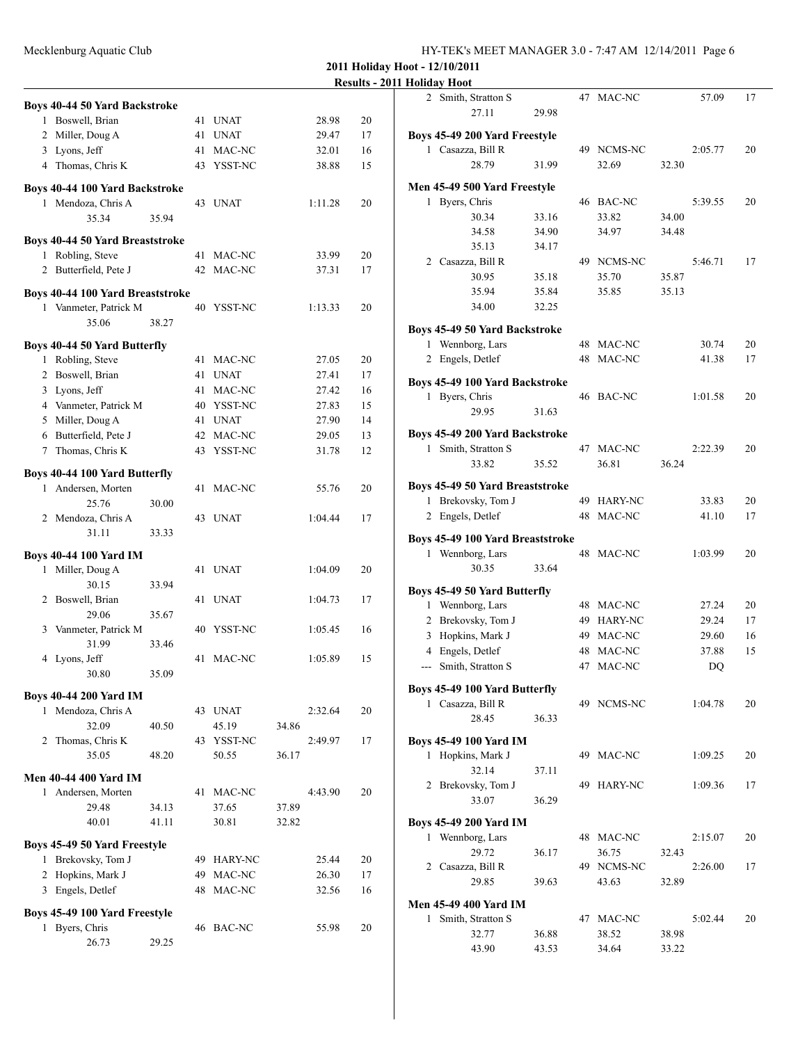2 Smith, Stratton S 47 MAC-NC 57.09 17

| Mecklenburg Aquatic Club |                                           |       |  |                      |         |          | HY-TEK's MEET MANAGER 3.0 - 7:47 AM 12/14/2011 Page 6 |                                                                                                             |       |            |       |         |
|--------------------------|-------------------------------------------|-------|--|----------------------|---------|----------|-------------------------------------------------------|-------------------------------------------------------------------------------------------------------------|-------|------------|-------|---------|
|                          |                                           |       |  |                      |         |          | 2011 Holiday Hoot - 12/10/2011                        |                                                                                                             |       |            |       |         |
|                          |                                           |       |  |                      |         |          | <b>Results - 2011 Holiday Hoot</b>                    |                                                                                                             |       |            |       |         |
|                          |                                           |       |  |                      |         |          |                                                       | 2 Smith, Stratton S                                                                                         |       | 47 MAC-NC  |       | 57.09   |
|                          | <b>Boys 40-44 50 Yard Backstroke</b>      |       |  |                      |         |          |                                                       | 27.11                                                                                                       | 29.98 |            |       |         |
|                          | 1 Boswell, Brian                          |       |  | 41 UNAT              | 28.98   | 20       |                                                       |                                                                                                             |       |            |       |         |
|                          | 2 Miller, Doug A                          |       |  | 41 UNAT              | 29.47   | 17       |                                                       | Boys 45-49 200 Yard Freestyle                                                                               |       |            |       |         |
|                          | 3 Lyons, Jeff                             |       |  | 41 MAC-NC            | 32.01   | 16       |                                                       | 1 Casazza, Bill R                                                                                           |       | 49 NCMS-NC |       | 2:05.77 |
|                          | 4 Thomas, Chris K                         |       |  | 43 YSST-NC           | 38.88   | 15       |                                                       | 28.79                                                                                                       | 31.99 | 32.69      | 32.30 |         |
|                          | Boys 40-44 100 Yard Backstroke            |       |  |                      |         |          |                                                       | Men 45-49 500 Yard Freestyle                                                                                |       |            |       |         |
|                          | 1 Mendoza, Chris A                        |       |  | 43 UNAT              | 1:11.28 | 20       |                                                       | 1 Byers, Chris                                                                                              |       | 46 BAC-NC  |       | 5:39.55 |
|                          | 35.34                                     | 35.94 |  |                      |         |          |                                                       | 30.34                                                                                                       | 33.16 | 33.82      | 34.00 |         |
|                          |                                           |       |  |                      |         |          |                                                       | 34.58                                                                                                       | 34.90 | 34.97      | 34.48 |         |
|                          | <b>Boys 40-44 50 Yard Breaststroke</b>    |       |  |                      |         |          |                                                       | 35.13                                                                                                       | 34.17 |            |       |         |
|                          | 1 Robling, Steve                          |       |  | 41 MAC-NC            | 33.99   | 20       |                                                       | 2 Casazza, Bill R                                                                                           |       | 49 NCMS-NC |       | 5:46.71 |
|                          | 2 Butterfield, Pete J                     |       |  | 42 MAC-NC            | 37.31   | 17       |                                                       | 30.95                                                                                                       | 35.18 | 35.70      | 35.87 |         |
|                          | <b>Boys 40-44 100 Yard Breaststroke</b>   |       |  |                      |         |          |                                                       | 35.94                                                                                                       | 35.84 | 35.85      | 35.13 |         |
|                          | 1 Vanmeter, Patrick M                     |       |  | 40 YSST-NC           | 1:13.33 | 20       |                                                       | 34.00                                                                                                       | 32.25 |            |       |         |
|                          | 35.06                                     | 38.27 |  |                      |         |          |                                                       | Boys 45-49 50 Yard Backstroke                                                                               |       |            |       |         |
|                          | Boys 40-44 50 Yard Butterfly              |       |  |                      |         |          |                                                       | 1 Wennborg, Lars                                                                                            |       | 48 MAC-NC  |       | 30.74   |
|                          | 1 Robling, Steve                          |       |  | 41 MAC-NC            | 27.05   | 20       |                                                       | 2 Engels, Detlef                                                                                            |       | 48 MAC-NC  |       | 41.38   |
|                          | 2 Boswell, Brian                          |       |  | 41 UNAT              | 27.41   | 17       |                                                       |                                                                                                             |       |            |       |         |
|                          | 3 Lyons, Jeff                             |       |  | 41 MAC-NC            | 27.42   | 16       |                                                       | Boys 45-49 100 Yard Backstroke                                                                              |       |            |       |         |
|                          | 4 Vanmeter, Patrick M                     |       |  | 40 YSST-NC           | 27.83   | 15       |                                                       | 1 Byers, Chris                                                                                              |       | 46 BAC-NC  |       | 1:01.58 |
|                          |                                           |       |  |                      | 27.90   |          |                                                       | 29.95                                                                                                       | 31.63 |            |       |         |
|                          | 5 Miller, Doug A<br>6 Butterfield, Pete J |       |  | 41 UNAT<br>42 MAC-NC | 29.05   | 14<br>13 |                                                       | Boys 45-49 200 Yard Backstroke                                                                              |       |            |       |         |
|                          |                                           |       |  | 43 YSST-NC           | 31.78   | 12       |                                                       | 1 Smith, Stratton S                                                                                         |       | 47 MAC-NC  |       | 2:22.39 |
|                          | 7 Thomas, Chris K                         |       |  |                      |         |          |                                                       | 33.82                                                                                                       | 35.52 | 36.81      | 36.24 |         |
|                          | Boys 40-44 100 Yard Butterfly             |       |  |                      |         |          |                                                       |                                                                                                             |       |            |       |         |
|                          | 1 Andersen, Morten                        |       |  | 41 MAC-NC            | 55.76   | 20       |                                                       | <b>Boys 45-49 50 Yard Breaststroke</b>                                                                      |       |            |       |         |
|                          | 25.76                                     | 30.00 |  |                      |         |          |                                                       | 1 Brekovsky, Tom J                                                                                          |       | 49 HARY-NC |       | 33.83   |
|                          | 2 Mendoza, Chris A                        |       |  | 43 UNAT              | 1:04.44 | 17       |                                                       | 2 Engels, Detlef                                                                                            |       | 48 MAC-NC  |       | 41.10   |
|                          | 31.11                                     | 33.33 |  |                      |         |          |                                                       | Boys 45-49 100 Yard Breaststroke                                                                            |       |            |       |         |
|                          | <b>Boys 40-44 100 Yard IM</b>             |       |  |                      |         |          |                                                       | 1 Wennborg, Lars                                                                                            |       | 48 MAC-NC  |       | 1:03.99 |
|                          | 1 Miller, Doug A                          |       |  | 41 UNAT              | 1:04.09 | 20       |                                                       | 30.35                                                                                                       | 33.64 |            |       |         |
|                          | 30.15                                     | 33.94 |  |                      |         |          |                                                       | $\mathbf{p}_{\alpha}$ and $\mathbf{A}$ and $\mathbf{A}$ and $\mathbf{p}_{\alpha}$ and $\mathbf{p}_{\alpha}$ |       |            |       |         |
|                          |                                           |       |  |                      |         |          |                                                       |                                                                                                             |       |            |       |         |

2 Boswell, Brian 41 UNAT 1:04.73 17

3 Vanmeter, Patrick M 40 YSST-NC 1:05.45 16

4 Lyons, Jeff 41 MAC-NC 1:05.89 15

1 Mendoza, Chris A 43 UNAT 2:32.64 20 32.09 40.50 45.19 34.86 2 Thomas, Chris K 43 YSST-NC 2:49.97 17 35.05 48.20 50.55 36.17

1 Andersen, Morten 41 MAC-NC 4:43.90 20 29.48 34.13 37.65 37.89 40.01 41.11 30.81 32.82

1 Brekovsky, Tom J 49 HARY-NC 25.44 20 2 Hopkins, Mark J 49 MAC-NC 26.30 17 3 Engels, Detlef 48 MAC-NC 32.56 16

1 Byers, Chris 46 BAC-NC 55.98 20

29.06 35.67

31.99 33.46

30.80 35.09

**Boys 40-44 200 Yard IM**

**Men 40-44 400 Yard IM**

**Boys 45-49 50 Yard Freestyle**

**Boys 45-49 100 Yard Freestyle**

26.73 29.25

|   | 27.11                            | 29.98 |    |                |       |         |    |
|---|----------------------------------|-------|----|----------------|-------|---------|----|
|   | Boys 45-49 200 Yard Freestyle    |       |    |                |       |         |    |
|   | 1 Casazza, Bill R                |       |    | 49 NCMS-NC     |       | 2:05.77 | 20 |
|   | 28.79                            | 31.99 |    | 32.69          | 32.30 |         |    |
|   |                                  |       |    |                |       |         |    |
|   | Men 45-49 500 Yard Freestyle     |       |    |                |       |         |    |
| 1 | Byers, Chris                     |       |    | 46 BAC-NC      |       | 5:39.55 | 20 |
|   | 30.34                            | 33.16 |    | 33.82          | 34.00 |         |    |
|   | 34.58                            | 34.90 |    | 34.97          | 34.48 |         |    |
|   | 35.13                            | 34.17 |    |                |       |         |    |
|   | 2 Casazza, Bill R                |       |    | 49 NCMS-NC     |       | 5:46.71 | 17 |
|   | 30.95                            | 35.18 |    | 35.70          | 35.87 |         |    |
|   | 35.94                            | 35.84 |    | 35.85          | 35.13 |         |    |
|   | 34.00                            | 32.25 |    |                |       |         |    |
|   | Boys 45-49 50 Yard Backstroke    |       |    |                |       |         |    |
|   | 1 Wennborg, Lars                 |       |    | 48 MAC-NC      |       | 30.74   | 20 |
|   | 2 Engels, Detlef                 |       |    | 48 MAC-NC      |       | 41.38   | 17 |
|   |                                  |       |    |                |       |         |    |
|   | Boys 45-49 100 Yard Backstroke   |       |    |                |       |         |    |
|   | 1 Byers, Chris                   |       |    | 46 BAC-NC      |       | 1:01.58 | 20 |
|   | 29.95                            | 31.63 |    |                |       |         |    |
|   | Boys 45-49 200 Yard Backstroke   |       |    |                |       |         |    |
|   | 1 Smith, Stratton S              |       |    | 47 MAC-NC      |       | 2:22.39 | 20 |
|   | 33.82                            | 35.52 |    | 36.81          | 36.24 |         |    |
|   |                                  |       |    |                |       |         |    |
|   | Boys 45-49 50 Yard Breaststroke  |       |    |                |       |         |    |
|   | 1 Brekovsky, Tom J               |       |    | 49 HARY-NC     |       | 33.83   | 20 |
|   | 2 Engels, Detlef                 |       |    | 48 MAC-NC      |       | 41.10   | 17 |
|   | Boys 45-49 100 Yard Breaststroke |       |    |                |       |         |    |
|   |                                  |       |    |                |       |         |    |
|   |                                  |       |    |                |       |         |    |
|   | 1 Wennborg, Lars                 |       |    | 48 MAC-NC      |       | 1:03.99 | 20 |
|   | 30.35                            | 33.64 |    |                |       |         |    |
|   | Boys 45-49 50 Yard Butterfly     |       |    |                |       |         |    |
|   | 1 Wennborg, Lars                 |       |    | 48 MAC-NC      |       | 27.24   | 20 |
|   | 2 Brekovsky, Tom J               |       |    | 49 HARY-NC     |       | 29.24   | 17 |
|   | 3 Hopkins, Mark J                |       |    | 49 MAC-NC      |       | 29.60   | 16 |
|   | 4 Engels, Detlef                 |       |    | 48 MAC-NC      |       | 37.88   | 15 |
|   | --- Smith, Stratton S            |       |    | 47 MAC-NC      |       | DQ      |    |
|   |                                  |       |    |                |       |         |    |
|   | Boys 45-49 100 Yard Butterfly    |       |    |                |       |         |    |
| 1 | Casazza, Bill R                  |       |    | 49 NCMS-NC     |       | 1:04.78 | 20 |
|   | 28.45                            | 36.33 |    |                |       |         |    |
|   | Boys 45-49 100 Yard IM           |       |    |                |       |         |    |
|   | 1 Hopkins, Mark J                |       |    | 49 MAC-NC      |       | 1:09.25 | 20 |
|   | 32.14                            | 37.11 |    |                |       |         |    |
|   | 2 Brekovsky, Tom J               |       | 49 | <b>HARY-NC</b> |       | 1:09.36 | 17 |
|   | 33.07                            | 36.29 |    |                |       |         |    |
|   |                                  |       |    |                |       |         |    |
|   | <b>Boys 45-49 200 Yard IM</b>    |       |    |                |       |         |    |
|   | 1 Wennborg, Lars                 |       |    | 48 MAC-NC      |       | 2:15.07 | 20 |
|   | 29.72                            | 36.17 |    | 36.75          | 32.43 |         |    |
|   | 2 Casazza, Bill R                |       |    | 49 NCMS-NC     |       | 2:26.00 | 17 |
|   | 29.85                            | 39.63 |    | 43.63          | 32.89 |         |    |
|   | <b>Men 45-49 400 Yard IM</b>     |       |    |                |       |         |    |
| 1 | Smith, Stratton S                |       |    | 47 MAC-NC      |       | 5:02.44 | 20 |
|   | 32.77                            | 36.88 |    | 38.52          | 38.98 |         |    |
|   | 43.90                            | 43.53 |    | 34.64          | 33.22 |         |    |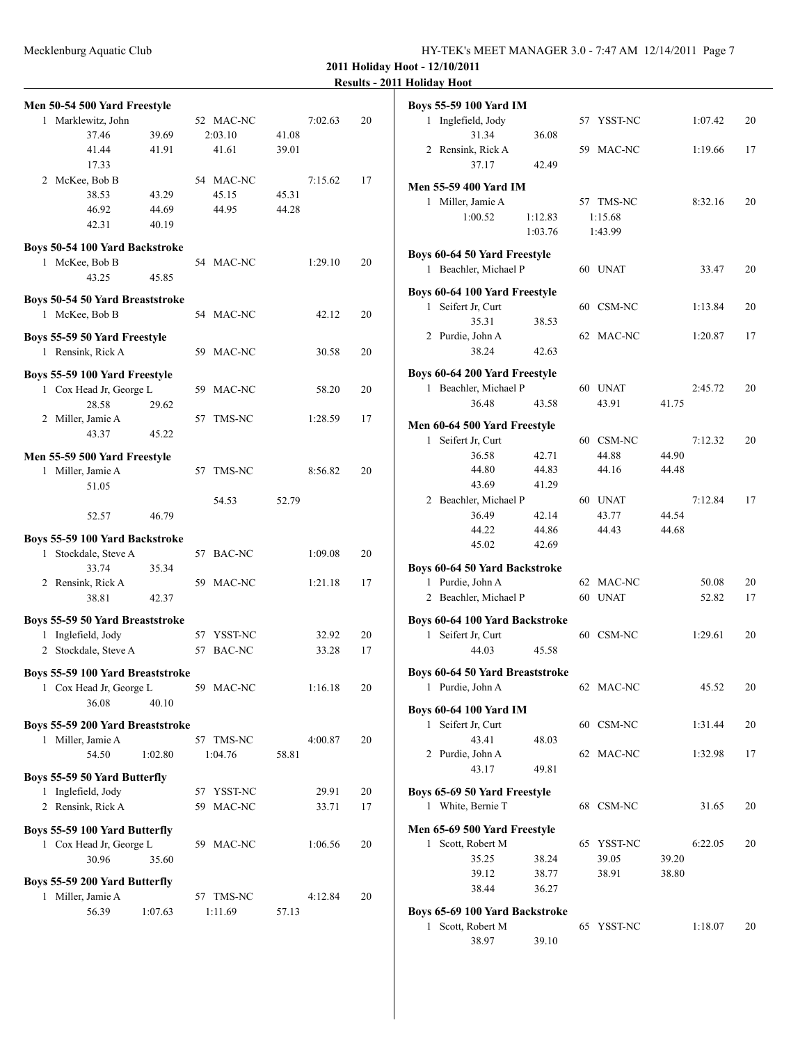**2011 Holiday Hoot - 12/10/2011 Results - 2011 Holiday Hoot**

|   | Men 50-54 500 Yard Freestyle                             |         |    |            |       |         |    |
|---|----------------------------------------------------------|---------|----|------------|-------|---------|----|
| 1 | Marklewitz, John                                         |         |    | 52 MAC-NC  |       | 7:02.63 | 20 |
|   | 37.46                                                    | 39.69   |    | 2:03.10    | 41.08 |         |    |
|   | 41.44                                                    | 41.91   |    | 41.61      | 39.01 |         |    |
|   | 17.33                                                    |         |    |            |       |         |    |
|   | 2 McKee, Bob B                                           |         |    | 54 MAC-NC  |       | 7:15.62 | 17 |
|   | 38.53                                                    | 43.29   |    | 45.15      | 45.31 |         |    |
|   | 46.92                                                    | 44.69   |    | 44.95      | 44.28 |         |    |
|   | 42.31                                                    | 40.19   |    |            |       |         |    |
|   | Boys 50-54 100 Yard Backstroke                           |         |    |            |       |         |    |
|   | 1 McKee, Bob B                                           |         |    | 54 MAC-NC  |       | 1:29.10 | 20 |
|   | 43.25                                                    | 45.85   |    |            |       |         |    |
|   |                                                          |         |    |            |       |         |    |
|   | Boys 50-54 50 Yard Breaststroke                          |         |    |            |       |         |    |
|   | 1 McKee, Bob B                                           |         |    | 54 MAC-NC  |       | 42.12   | 20 |
|   | Boys 55-59 50 Yard Freestyle                             |         |    |            |       |         |    |
|   | 1 Rensink, Rick A                                        |         |    | 59 MAC-NC  |       | 30.58   | 20 |
|   |                                                          |         |    |            |       |         |    |
|   | Boys 55-59 100 Yard Freestyle                            |         |    |            |       |         |    |
|   | 1 Cox Head Jr, George L                                  |         |    | 59 MAC-NC  |       | 58.20   | 20 |
|   | 28.58                                                    | 29.62   |    |            |       |         |    |
|   | 2 Miller, Jamie A                                        |         |    | 57 TMS-NC  |       | 1:28.59 | 17 |
|   | 43.37                                                    | 45.22   |    |            |       |         |    |
|   | Men 55-59 500 Yard Freestyle                             |         |    |            |       |         |    |
|   | 1 Miller, Jamie A                                        |         |    | 57 TMS-NC  |       | 8:56.82 | 20 |
|   | 51.05                                                    |         |    |            |       |         |    |
|   |                                                          |         |    | 54.53      | 52.79 |         |    |
|   | 52.57                                                    | 46.79   |    |            |       |         |    |
|   |                                                          |         |    |            |       |         |    |
|   | Boys 55-59 100 Yard Backstroke<br>1 Stockdale, Steve A   |         |    | 57 BAC-NC  |       | 1:09.08 | 20 |
|   | 33.74                                                    | 35.34   |    |            |       |         |    |
|   | 2 Rensink, Rick A                                        |         |    | 59 MAC-NC  |       | 1:21.18 | 17 |
|   | 38.81                                                    | 42.37   |    |            |       |         |    |
|   |                                                          |         |    |            |       |         |    |
|   | Boys 55-59 50 Yard Breaststroke                          |         |    |            |       |         |    |
|   | 1 Inglefield, Jody                                       |         | 57 | YSST-NC    |       | 32.92   | 20 |
|   | 2 Stockdale, Steve A                                     |         | 57 | BAC-NC     |       | 33.28   | 17 |
|   | Boys 55-59 100 Yard Breaststroke                         |         |    |            |       |         |    |
|   | 1 Cox Head Jr, George L                                  |         |    | 59 MAC-NC  |       | 1:16.18 | 20 |
|   | 36.08                                                    | 40.10   |    |            |       |         |    |
|   |                                                          |         |    |            |       |         |    |
|   | Boys 55-59 200 Yard Breaststroke                         |         |    |            |       |         |    |
|   | 1 Miller, Jamie A                                        |         |    | 57 TMS-NC  |       | 4:00.87 | 20 |
|   | 54.50                                                    | 1:02.80 |    | 1:04.76    | 58.81 |         |    |
|   | Boys 55-59 50 Yard Butterfly                             |         |    |            |       |         |    |
|   | 1 Inglefield, Jody                                       |         |    | 57 YSST-NC |       | 29.91   | 20 |
|   | 2 Rensink, Rick A                                        |         | 59 | MAC-NC     |       | 33.71   | 17 |
|   |                                                          |         |    |            |       |         |    |
|   | Boys 55-59 100 Yard Butterfly<br>1 Cox Head Jr, George L |         |    | 59 MAC-NC  |       | 1:06.56 | 20 |
|   | 30.96                                                    | 35.60   |    |            |       |         |    |
|   |                                                          |         |    |            |       |         |    |
|   | Boys 55-59 200 Yard Butterfly                            |         |    |            |       |         |    |
|   | 1 Miller, Jamie A                                        |         |    | 57 TMS-NC  |       | 4:12.84 | 20 |
|   | 56.39                                                    | 1:07.63 |    | 1:11.69    | 57.13 |         |    |
|   |                                                          |         |    |            |       |         |    |

|              | <b>Boys 55-59 100 Yard IM</b>                              |         |    |             |       |         |    |
|--------------|------------------------------------------------------------|---------|----|-------------|-------|---------|----|
|              | 1 Inglefield, Jody                                         |         |    | 57 YSST-NC  |       | 1:07.42 | 20 |
|              | 31.34                                                      | 36.08   |    |             |       |         |    |
|              | 2 Rensink, Rick A                                          |         |    | 59 MAC-NC   |       | 1:19.66 | 17 |
|              | 37.17                                                      | 42.49   |    |             |       |         |    |
|              | <b>Men 55-59 400 Yard IM</b>                               |         |    |             |       |         |    |
|              | 1 Miller, Jamie A                                          |         |    | 57 TMS-NC   |       | 8:32.16 | 20 |
|              | 1:00.52                                                    | 1:12.83 |    | 1:15.68     |       |         |    |
|              |                                                            | 1:03.76 |    | 1:43.99     |       |         |    |
|              | Boys 60-64 50 Yard Freestyle                               |         |    |             |       |         |    |
|              | 1 Beachler, Michael P                                      |         |    | 60 UNAT     |       | 33.47   | 20 |
|              | Boys 60-64 100 Yard Freestyle                              |         |    |             |       |         |    |
| $\mathbf{1}$ | Seifert Jr, Curt                                           |         |    | 60 CSM-NC   |       | 1:13.84 | 20 |
|              | 35.31                                                      | 38.53   |    |             |       |         |    |
|              | 2 Purdie, John A                                           |         | 62 | MAC-NC      |       | 1:20.87 | 17 |
|              | 38.24                                                      | 42.63   |    |             |       |         |    |
|              | Boys 60-64 200 Yard Freestyle                              |         |    |             |       |         |    |
|              | 1 Beachler, Michael P                                      |         |    | 60 UNAT     |       | 2:45.72 | 20 |
|              | 36.48                                                      | 43.58   |    | 43.91       | 41.75 |         |    |
|              | Men 60-64 500 Yard Freestyle                               |         |    |             |       |         |    |
| $\mathbf{1}$ | Seifert Jr, Curt                                           |         |    | 60 CSM-NC   |       | 7:12.32 | 20 |
|              | 36.58                                                      | 42.71   |    | 44.88       | 44.90 |         |    |
|              | 44.80                                                      | 44.83   |    | 44.16       | 44.48 |         |    |
|              | 43.69                                                      | 41.29   |    |             |       |         |    |
| 2            | Beachler, Michael P                                        |         |    | 60 UNAT     |       | 7:12.84 | 17 |
|              | 36.49                                                      | 42.14   |    | 43.77       | 44.54 |         |    |
|              | 44.22                                                      | 44.86   |    | 44.43       | 44.68 |         |    |
|              | 45.02                                                      | 42.69   |    |             |       |         |    |
|              | Boys 60-64 50 Yard Backstroke                              |         |    |             |       |         |    |
| $\mathbf{1}$ | Purdie, John A                                             |         |    | 62 MAC-NC   |       | 50.08   | 20 |
|              | 2 Beachler, Michael P                                      |         | 60 | <b>UNAT</b> |       | 52.82   | 17 |
|              | Boys 60-64 100 Yard Backstroke                             |         |    |             |       |         |    |
|              | 1 Seifert Jr, Curt                                         |         |    | 60 CSM-NC   |       | 1:29.61 | 20 |
|              | 44.03                                                      | 45.58   |    |             |       |         |    |
|              |                                                            |         |    |             |       |         |    |
|              | <b>Boys 60-64 50 Yard Breaststroke</b><br>1 Purdie, John A |         |    | 62 MAC-NC   |       | 45.52   | 20 |
|              |                                                            |         |    |             |       |         |    |
|              | <b>Boys 60-64 100 Yard IM</b>                              |         |    |             |       |         |    |
| $\mathbf{1}$ | Seifert Jr, Curt                                           |         |    | 60 CSM-NC   |       | 1:31.44 | 20 |
|              | 43.41<br>2 Purdie, John A                                  | 48.03   |    |             |       |         |    |
|              | 43.17                                                      | 49.81   |    | 62 MAC-NC   |       | 1:32.98 | 17 |
|              |                                                            |         |    |             |       |         |    |
|              | Boys 65-69 50 Yard Freestyle                               |         |    |             |       |         |    |
|              | 1 White, Bernie T                                          |         |    | 68 CSM-NC   |       | 31.65   | 20 |
|              | Men 65-69 500 Yard Freestyle                               |         |    |             |       |         |    |
| 1            | Scott, Robert M                                            |         |    | 65 YSST-NC  |       | 6:22.05 | 20 |
|              | 35.25                                                      | 38.24   |    | 39.05       | 39.20 |         |    |
|              | 39.12                                                      | 38.77   |    | 38.91       | 38.80 |         |    |
|              | 38.44                                                      | 36.27   |    |             |       |         |    |
|              | Boys 65-69 100 Yard Backstroke                             |         |    |             |       |         |    |
| 1            | Scott, Robert M                                            |         |    | 65 YSST-NC  |       | 1:18.07 | 20 |
|              | 38.97                                                      | 39.10   |    |             |       |         |    |